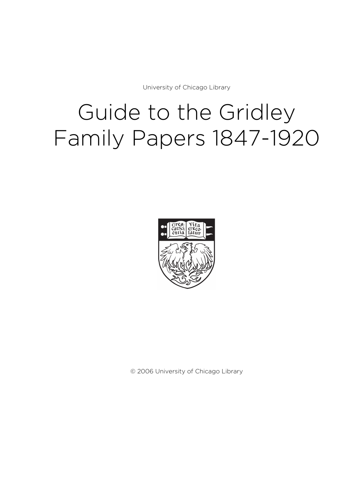University of Chicago Library

# Guide to the Gridley Family Papers 1847-1920



© 2006 University of Chicago Library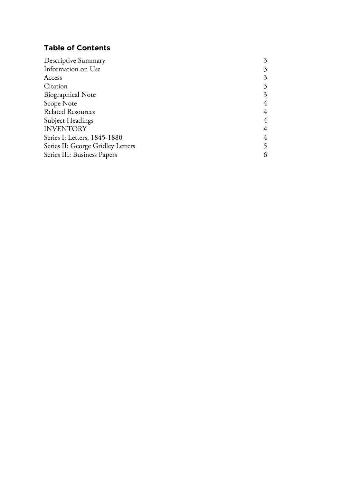# **Table of Contents**

| Descriptive Summary               | 3 |
|-----------------------------------|---|
| Information on Use                | 3 |
| Access                            | 3 |
| Citation                          | 3 |
| <b>Biographical Note</b>          | 3 |
| Scope Note                        | 4 |
| <b>Related Resources</b>          | 4 |
| Subject Headings                  | 4 |
| <b>INVENTORY</b>                  | 4 |
| Series I: Letters, 1845-1880      | 4 |
| Series II: George Gridley Letters |   |
| Series III: Business Papers       | 6 |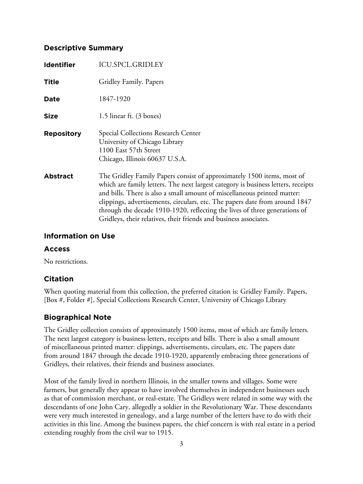## **Descriptive Summary**

| <b>Identifier</b> | <b>ICU.SPCL.GRIDLEY</b>                                                                                                                                                                                                                                                                                                                                                                                                                                                   |
|-------------------|---------------------------------------------------------------------------------------------------------------------------------------------------------------------------------------------------------------------------------------------------------------------------------------------------------------------------------------------------------------------------------------------------------------------------------------------------------------------------|
| <b>Title</b>      | Gridley Family. Papers                                                                                                                                                                                                                                                                                                                                                                                                                                                    |
| Date              | 1847-1920                                                                                                                                                                                                                                                                                                                                                                                                                                                                 |
| <b>Size</b>       | 1.5 linear ft. $(3 \text{ boxes})$                                                                                                                                                                                                                                                                                                                                                                                                                                        |
| <b>Repository</b> | Special Collections Research Center<br>University of Chicago Library<br>1100 East 57th Street<br>Chicago, Illinois 60637 U.S.A.                                                                                                                                                                                                                                                                                                                                           |
| <b>Abstract</b>   | The Gridley Family Papers consist of approximately 1500 items, most of<br>which are family letters. The next largest category is business letters, receipts<br>and bills. There is also a small amount of miscellaneous printed matter:<br>clippings, advertisements, circulars, etc. The papers date from around 1847<br>through the decade 1910-1920, reflecting the lives of three generations of<br>Gridleys, their relatives, their friends and business associates. |

## **Information on Use**

## **Access**

No restrictions.

## **Citation**

When quoting material from this collection, the preferred citation is: Gridley Family. Papers, [Box #, Folder #], Special Collections Research Center, University of Chicago Library

# **Biographical Note**

The Gridley collection consists of approximately 1500 items, most of which are family letters. The next largest category is business letters, receipts and bills. There is also a small amount of miscellaneous printed matter: clippings, advertisements, circulars, etc. The papers date from around 1847 through the decade 1910-1920, apparently embracing three generations of Gridleys, their relatives, their friends and business associates.

Most of the family lived in northern Illinois, in the smaller towns and villages. Some were farmers, but generally they appear to have involved themselves in independent businesses such as that of commission merchant, or real-estate. The Gridleys were related in some way with the descendants of one John Cary, allegedly a soldier in the Revolutionary War. These descendants were very much interested in genealogy, and a large number of the letters have to do with their activities in this line. Among the business papers, the chief concern is with real estate in a period extending roughly from the civil war to 1915.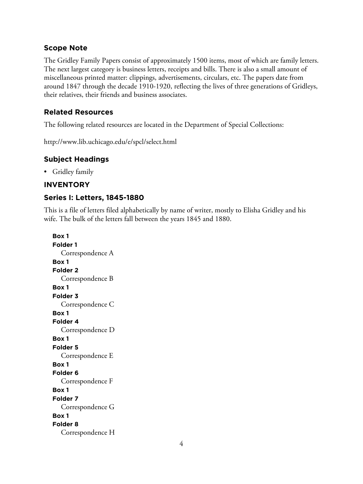## **Scope Note**

The Gridley Family Papers consist of approximately 1500 items, most of which are family letters. The next largest category is business letters, receipts and bills. There is also a small amount of miscellaneous printed matter: clippings, advertisements, circulars, etc. The papers date from around 1847 through the decade 1910-1920, reflecting the lives of three generations of Gridleys, their relatives, their friends and business associates.

# **Related Resources**

The following related resources are located in the Department of Special Collections:

http://www.lib.uchicago.edu/e/spcl/select.html

# **Subject Headings**

• Gridley family

# **INVENTORY**

# **Series I: Letters, 1845-1880**

This is a file of letters filed alphabetically by name of writer, mostly to Elisha Gridley and his wife. The bulk of the letters fall between the years 1845 and 1880.

**Box 1 Folder 1** Correspondence A **Box 1 Folder 2** Correspondence B **Box 1 Folder 3** Correspondence C **Box 1 Folder 4** Correspondence D **Box 1 Folder 5** Correspondence E **Box 1 Folder 6** Correspondence F **Box 1 Folder 7** Correspondence G **Box 1 Folder 8** Correspondence H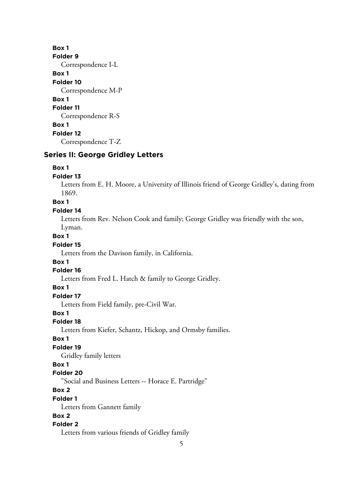**Box 1 Folder 9** Correspondence I-L **Box 1 Folder 10** Correspondence M-P **Box 1 Folder 11** Correspondence R-S **Box 1 Folder 12** Correspondence T-Z

## **Series II: George Gridley Letters**

#### **Box 1**

#### **Folder 13**

Letters from E. H. Moore, a University of Illinois friend of George Gridley's, dating from 1869.

**Box 1**

## **Folder 14**

Letters from Rev. Nelson Cook and family; George Gridley was friendly with the son, Lyman.

## **Box 1**

#### **Folder 15**

Letters from the Davison family, in California.

#### **Box 1**

#### **Folder 16**

Letters from Fred L. Hatch & family to George Gridley.

## **Box 1**

## **Folder 17**

Letters from Field family, pre-Civil War.

#### **Box 1**

#### **Folder 18**

Letters from Kiefer, Schantz, Hickop, and Ormsby families.

## **Box 1**

## **Folder 19**

Gridley family letters

#### **Box 1**

#### **Folder 20**

"Social and Business Letters -- Horace E. Partridge"

## **Box 2**

#### **Folder 1**

Letters from Gannett family

# **Box 2**

## **Folder 2**

Letters from various friends of Gridley family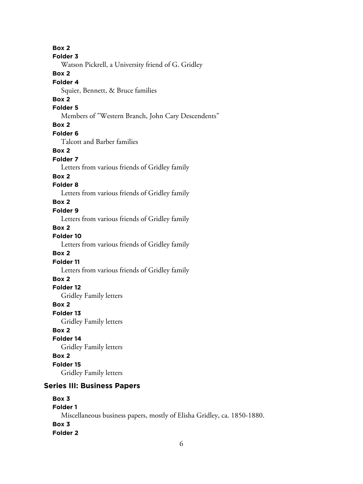**Box 2 Folder 3** Watson Pickrell, a University friend of G. Gridley **Box 2 Folder 4** Squier, Bennett, & Bruce families **Box 2 Folder 5** Members of "Western Branch, John Cary Descendents" **Box 2 Folder 6** Talcott and Barber families **Box 2 Folder 7** Letters from various friends of Gridley family **Box 2 Folder 8** Letters from various friends of Gridley family **Box 2 Folder 9** Letters from various friends of Gridley family **Box 2 Folder 10** Letters from various friends of Gridley family **Box 2 Folder 11** Letters from various friends of Gridley family **Box 2 Folder 12** Gridley Family letters **Box 2 Folder 13** Gridley Family letters **Box 2 Folder 14** Gridley Family letters **Box 2 Folder 15** Gridley Family letters **Series III: Business Papers Box 3 Folder 1** Miscellaneous business papers, mostly of Elisha Gridley, ca. 1850-1880.

**Box 3 Folder 2**